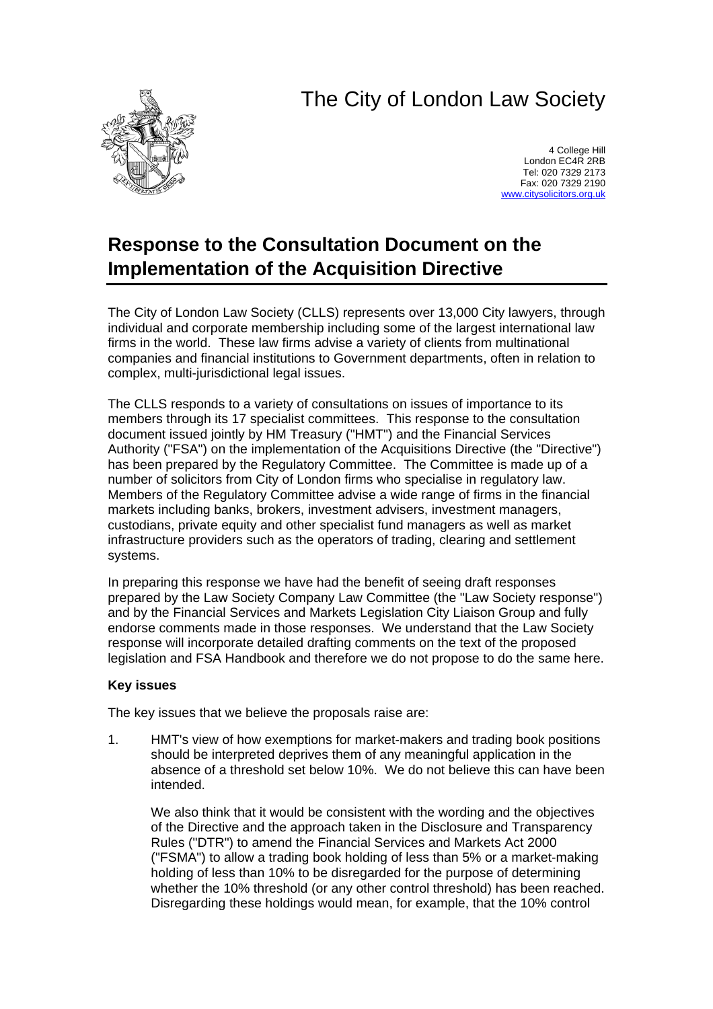## The City of London Law Society



4 College Hill London EC4R 2RB Tel: 020 7329 2173 Fax: 020 7329 2190 [www.citysolicitors.org.uk](http://www.citysolicitors.org.uk/)

## **Response to the Consultation Document on the Implementation of the Acquisition Directive**

The City of London Law Society (CLLS) represents over 13,000 City lawyers, through individual and corporate membership including some of the largest international law firms in the world. These law firms advise a variety of clients from multinational companies and financial institutions to Government departments, often in relation to complex, multi-jurisdictional legal issues.

The CLLS responds to a variety of consultations on issues of importance to its members through its 17 specialist committees. This response to the consultation document issued jointly by HM Treasury ("HMT") and the Financial Services Authority ("FSA") on the implementation of the Acquisitions Directive (the "Directive") has been prepared by the Regulatory Committee. The Committee is made up of a number of solicitors from City of London firms who specialise in regulatory law. Members of the Regulatory Committee advise a wide range of firms in the financial markets including banks, brokers, investment advisers, investment managers, custodians, private equity and other specialist fund managers as well as market infrastructure providers such as the operators of trading, clearing and settlement systems.

In preparing this response we have had the benefit of seeing draft responses prepared by the Law Society Company Law Committee (the "Law Society response") and by the Financial Services and Markets Legislation City Liaison Group and fully endorse comments made in those responses. We understand that the Law Society response will incorporate detailed drafting comments on the text of the proposed legislation and FSA Handbook and therefore we do not propose to do the same here.

## **Key issues**

The key issues that we believe the proposals raise are:

1. HMT's view of how exemptions for market-makers and trading book positions should be interpreted deprives them of any meaningful application in the absence of a threshold set below 10%. We do not believe this can have been intended.

We also think that it would be consistent with the wording and the objectives of the Directive and the approach taken in the Disclosure and Transparency Rules ("DTR") to amend the Financial Services and Markets Act 2000 ("FSMA") to allow a trading book holding of less than 5% or a market-making holding of less than 10% to be disregarded for the purpose of determining whether the 10% threshold (or any other control threshold) has been reached. Disregarding these holdings would mean, for example, that the 10% control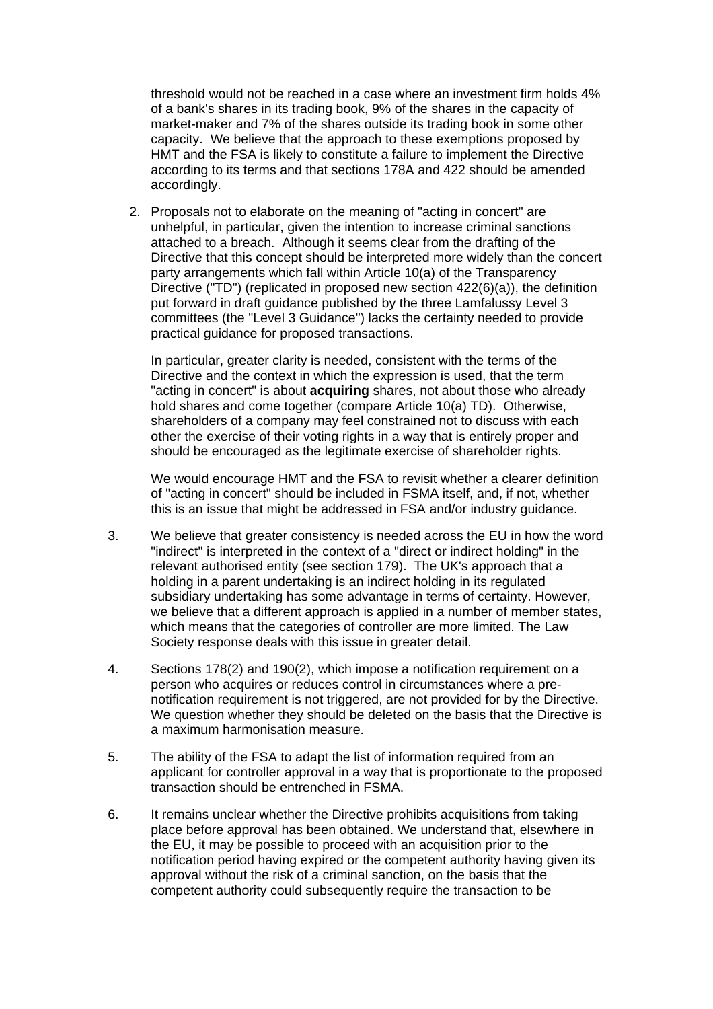threshold would not be reached in a case where an investment firm holds 4% of a bank's shares in its trading book, 9% of the shares in the capacity of market-maker and 7% of the shares outside its trading book in some other capacity. We believe that the approach to these exemptions proposed by HMT and the FSA is likely to constitute a failure to implement the Directive according to its terms and that sections 178A and 422 should be amended accordingly.

2. Proposals not to elaborate on the meaning of "acting in concert" are unhelpful, in particular, given the intention to increase criminal sanctions attached to a breach. Although it seems clear from the drafting of the Directive that this concept should be interpreted more widely than the concert party arrangements which fall within Article 10(a) of the Transparency Directive ("TD") (replicated in proposed new section 422(6)(a)), the definition put forward in draft guidance published by the three Lamfalussy Level 3 committees (the "Level 3 Guidance") lacks the certainty needed to provide practical guidance for proposed transactions.

In particular, greater clarity is needed, consistent with the terms of the Directive and the context in which the expression is used, that the term "acting in concert" is about **acquiring** shares, not about those who already hold shares and come together (compare Article 10(a) TD). Otherwise, shareholders of a company may feel constrained not to discuss with each other the exercise of their voting rights in a way that is entirely proper and should be encouraged as the legitimate exercise of shareholder rights.

We would encourage HMT and the FSA to revisit whether a clearer definition of "acting in concert" should be included in FSMA itself, and, if not, whether this is an issue that might be addressed in FSA and/or industry guidance.

- 3. We believe that greater consistency is needed across the EU in how the word "indirect" is interpreted in the context of a "direct or indirect holding" in the relevant authorised entity (see section 179). The UK's approach that a holding in a parent undertaking is an indirect holding in its regulated subsidiary undertaking has some advantage in terms of certainty. However, we believe that a different approach is applied in a number of member states, which means that the categories of controller are more limited. The Law Society response deals with this issue in greater detail.
- 4. Sections 178(2) and 190(2), which impose a notification requirement on a person who acquires or reduces control in circumstances where a prenotification requirement is not triggered, are not provided for by the Directive. We question whether they should be deleted on the basis that the Directive is a maximum harmonisation measure.
- 5. The ability of the FSA to adapt the list of information required from an applicant for controller approval in a way that is proportionate to the proposed transaction should be entrenched in FSMA.
- 6. It remains unclear whether the Directive prohibits acquisitions from taking place before approval has been obtained. We understand that, elsewhere in the EU, it may be possible to proceed with an acquisition prior to the notification period having expired or the competent authority having given its approval without the risk of a criminal sanction, on the basis that the competent authority could subsequently require the transaction to be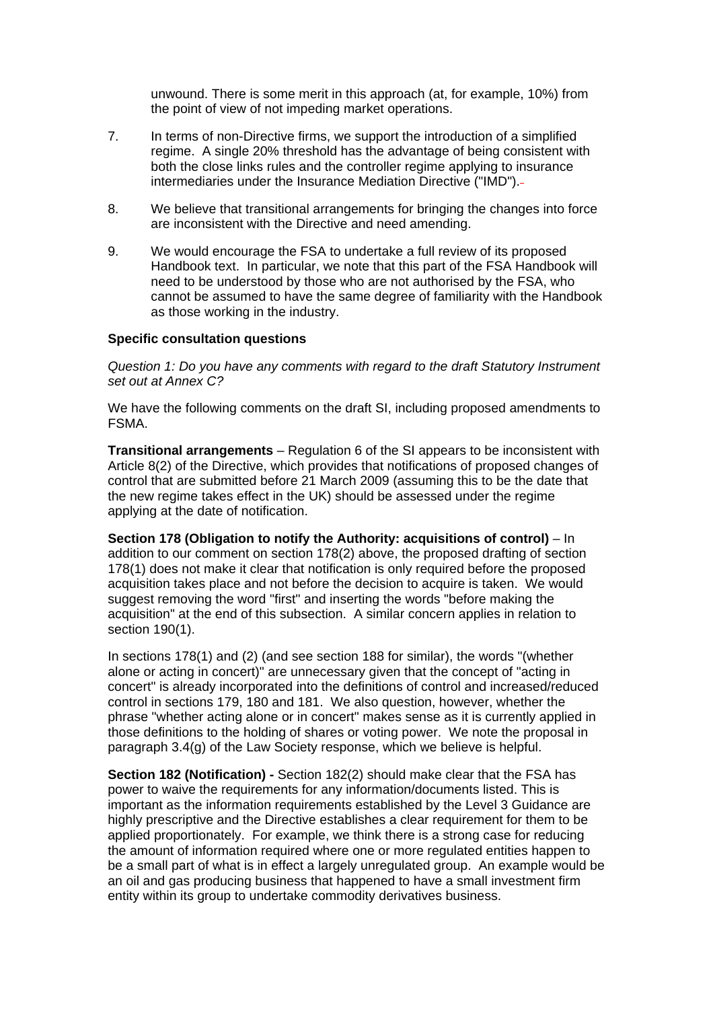unwound. There is some merit in this approach (at, for example, 10%) from the point of view of not impeding market operations.

- 7. In terms of non-Directive firms, we support the introduction of a simplified regime. A single 20% threshold has the advantage of being consistent with both the close links rules and the controller regime applying to insurance intermediaries under the Insurance Mediation Directive ("IMD").
- 8. We believe that transitional arrangements for bringing the changes into force are inconsistent with the Directive and need amending.
- 9. We would encourage the FSA to undertake a full review of its proposed Handbook text. In particular, we note that this part of the FSA Handbook will need to be understood by those who are not authorised by the FSA, who cannot be assumed to have the same degree of familiarity with the Handbook as those working in the industry.

## **Specific consultation questions**

*Question 1: Do you have any comments with regard to the draft Statutory Instrument set out at Annex C?* 

We have the following comments on the draft SI, including proposed amendments to FSMA.

**Transitional arrangements** – Regulation 6 of the SI appears to be inconsistent with Article 8(2) of the Directive, which provides that notifications of proposed changes of control that are submitted before 21 March 2009 (assuming this to be the date that the new regime takes effect in the UK) should be assessed under the regime applying at the date of notification.

**Section 178 (Obligation to notify the Authority: acquisitions of control)** – In addition to our comment on section 178(2) above, the proposed drafting of section 178(1) does not make it clear that notification is only required before the proposed acquisition takes place and not before the decision to acquire is taken. We would suggest removing the word "first" and inserting the words "before making the acquisition" at the end of this subsection. A similar concern applies in relation to section 190(1).

In sections 178(1) and (2) (and see section 188 for similar), the words "(whether alone or acting in concert)" are unnecessary given that the concept of "acting in concert" is already incorporated into the definitions of control and increased/reduced control in sections 179, 180 and 181. We also question, however, whether the phrase "whether acting alone or in concert" makes sense as it is currently applied in those definitions to the holding of shares or voting power. We note the proposal in paragraph 3.4(g) of the Law Society response, which we believe is helpful.

**Section 182 (Notification) -** Section 182(2) should make clear that the FSA has power to waive the requirements for any information/documents listed. This is important as the information requirements established by the Level 3 Guidance are highly prescriptive and the Directive establishes a clear requirement for them to be applied proportionately. For example, we think there is a strong case for reducing the amount of information required where one or more regulated entities happen to be a small part of what is in effect a largely unregulated group. An example would be an oil and gas producing business that happened to have a small investment firm entity within its group to undertake commodity derivatives business.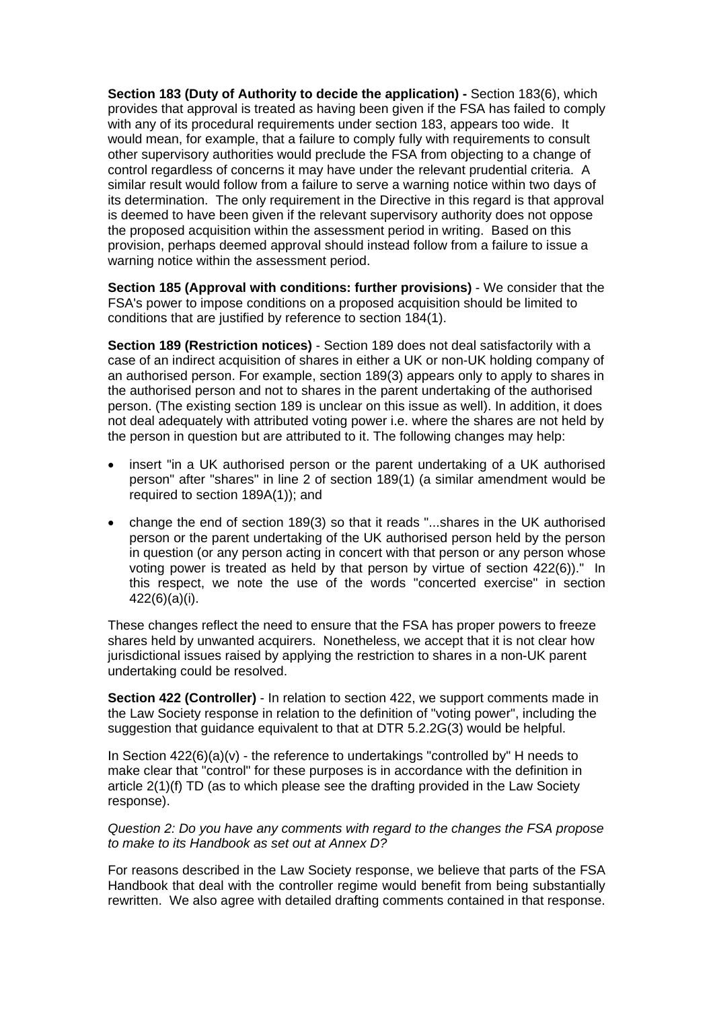**Section 183 (Duty of Authority to decide the application) - Section 183(6), which** provides that approval is treated as having been given if the FSA has failed to comply with any of its procedural requirements under section 183, appears too wide. It would mean, for example, that a failure to comply fully with requirements to consult other supervisory authorities would preclude the FSA from objecting to a change of control regardless of concerns it may have under the relevant prudential criteria. A similar result would follow from a failure to serve a warning notice within two days of its determination. The only requirement in the Directive in this regard is that approval is deemed to have been given if the relevant supervisory authority does not oppose the proposed acquisition within the assessment period in writing. Based on this provision, perhaps deemed approval should instead follow from a failure to issue a warning notice within the assessment period.

**Section 185 (Approval with conditions: further provisions)** - We consider that the FSA's power to impose conditions on a proposed acquisition should be limited to conditions that are justified by reference to section 184(1).

**Section 189 (Restriction notices)** - Section 189 does not deal satisfactorily with a case of an indirect acquisition of shares in either a UK or non-UK holding company of an authorised person. For example, section 189(3) appears only to apply to shares in the authorised person and not to shares in the parent undertaking of the authorised person. (The existing section 189 is unclear on this issue as well). In addition, it does not deal adequately with attributed voting power i.e. where the shares are not held by the person in question but are attributed to it. The following changes may help:

- insert "in a UK authorised person or the parent undertaking of a UK authorised person" after "shares" in line 2 of section 189(1) (a similar amendment would be required to section 189A(1)); and
- change the end of section 189(3) so that it reads "...shares in the UK authorised person or the parent undertaking of the UK authorised person held by the person in question (or any person acting in concert with that person or any person whose voting power is treated as held by that person by virtue of section 422(6))." In this respect, we note the use of the words "concerted exercise" in section 422(6)(a)(i).

These changes reflect the need to ensure that the FSA has proper powers to freeze shares held by unwanted acquirers. Nonetheless, we accept that it is not clear how jurisdictional issues raised by applying the restriction to shares in a non-UK parent undertaking could be resolved.

**Section 422 (Controller)** - In relation to section 422, we support comments made in the Law Society response in relation to the definition of "voting power", including the suggestion that guidance equivalent to that at DTR 5.2.2G(3) would be helpful.

In Section 422(6)(a)(v) - the reference to undertakings "controlled by" H needs to make clear that "control" for these purposes is in accordance with the definition in article 2(1)(f) TD (as to which please see the drafting provided in the Law Society response).

*Question 2: Do you have any comments with regard to the changes the FSA propose to make to its Handbook as set out at Annex D?* 

For reasons described in the Law Society response, we believe that parts of the FSA Handbook that deal with the controller regime would benefit from being substantially rewritten. We also agree with detailed drafting comments contained in that response.